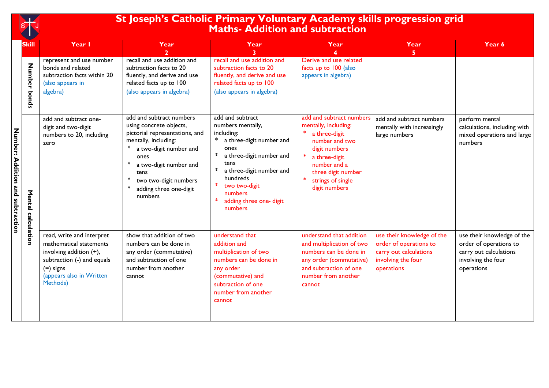

## **St Joseph's Catholic Primary Voluntary Academy skills progression grid Maths- Addition and subtraction**

|                                  | <b>Skill</b>          | Year I                                                                                                                                                               | Year                                                                                                                                                                                                                                                           | Year                                                                                                                                                                                                                                                   | Year                                                                                                                                                                                              | Year                                                                                                               | Year 6                                                                                                             |
|----------------------------------|-----------------------|----------------------------------------------------------------------------------------------------------------------------------------------------------------------|----------------------------------------------------------------------------------------------------------------------------------------------------------------------------------------------------------------------------------------------------------------|--------------------------------------------------------------------------------------------------------------------------------------------------------------------------------------------------------------------------------------------------------|---------------------------------------------------------------------------------------------------------------------------------------------------------------------------------------------------|--------------------------------------------------------------------------------------------------------------------|--------------------------------------------------------------------------------------------------------------------|
|                                  | Number<br>bonds       | represent and use number<br>bonds and related<br>subtraction facts within 20<br>(also appears in<br>algebra)                                                         | recall and use addition and<br>subtraction facts to 20<br>fluently, and derive and use<br>related facts up to 100<br>(also appears in algebra)                                                                                                                 | recall and use addition and<br>subtraction facts to 20<br>fluently, and derive and use<br>related facts up to 100<br>(also appears in algebra)                                                                                                         | Derive and use related<br>facts up to 100 (also<br>appears in algebra)                                                                                                                            | 5.                                                                                                                 |                                                                                                                    |
| Number: Addition and subtraction | Mental<br>calculation | add and subtract one-<br>digit and two-digit<br>numbers to 20, including<br>zero                                                                                     | add and subtract numbers<br>using concrete objects,<br>pictorial representations, and<br>mentally, including:<br>a two-digit number and<br>ones<br>∗<br>a two-digit number and<br>tens<br>$\ast$<br>two two-digit numbers<br>adding three one-digit<br>numbers | add and subtract<br>numbers mentally,<br>including:<br>a three-digit number and<br>ones<br>∗<br>a three-digit number and<br>tens<br>∗<br>a three-digit number and<br>hundreds<br>$*$<br>two two-digit<br>numbers<br>adding three one- digit<br>numbers | add and subtract numbers<br>mentally, including:<br>a three-digit<br>number and two<br>digit numbers<br>a three-digit<br>number and a<br>three digit number<br>strings of single<br>digit numbers | add and subtract numbers<br>mentally with increasingly<br>large numbers                                            | perform mental<br>calculations, including with<br>mixed operations and large<br>numbers                            |
|                                  |                       | read, write and interpret<br>mathematical statements<br>involving addition (+),<br>subtraction (-) and equals<br>$(=)$ signs<br>(appears also in Written<br>Methods) | show that addition of two<br>numbers can be done in<br>any order (commutative)<br>and subtraction of one<br>number from another<br>cannot                                                                                                                      | understand that<br>addition and<br>multiplication of two<br>numbers can be done in<br>any order<br>(commutative) and<br>subtraction of one<br>number from another<br>cannot                                                                            | understand that addition<br>and multiplication of two<br>numbers can be done in<br>any order (commutative)<br>and subtraction of one<br>number from another<br>cannot                             | use their knowledge of the<br>order of operations to<br>carry out calculations<br>involving the four<br>operations | use their knowledge of the<br>order of operations to<br>carry out calculations<br>involving the four<br>operations |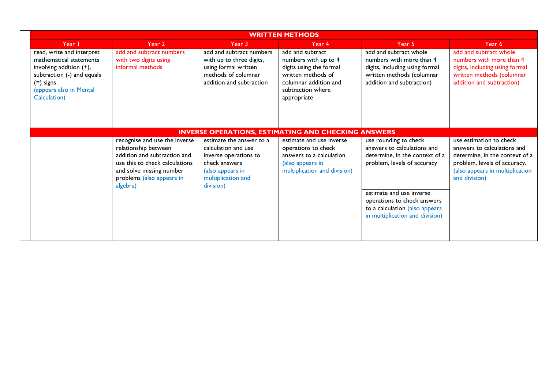|                                                                                                                                                                         | <b>WRITTEN METHODS</b>                                                                                                                                                                       |                                                                                                                                                  |                                                                                                                                                        |                                                                                                                                                                                                                                                       |                                                                                                                                                                              |  |  |  |  |
|-------------------------------------------------------------------------------------------------------------------------------------------------------------------------|----------------------------------------------------------------------------------------------------------------------------------------------------------------------------------------------|--------------------------------------------------------------------------------------------------------------------------------------------------|--------------------------------------------------------------------------------------------------------------------------------------------------------|-------------------------------------------------------------------------------------------------------------------------------------------------------------------------------------------------------------------------------------------------------|------------------------------------------------------------------------------------------------------------------------------------------------------------------------------|--|--|--|--|
| Year I                                                                                                                                                                  | Year <sub>2</sub>                                                                                                                                                                            | Year 3                                                                                                                                           | Year 4                                                                                                                                                 | Year 5                                                                                                                                                                                                                                                | Year 6                                                                                                                                                                       |  |  |  |  |
| read, write and interpret<br>mathematical statements<br>involving addition (+),<br>subtraction (-) and equals<br>$(=)$ signs<br>(appears also in Mental<br>Calculation) | add and subtract numbers<br>with two digits using<br>informal methods                                                                                                                        | add and subtract numbers<br>with up to three digits,<br>using formal written<br>methods of columnar<br>addition and subtraction                  | add and subtract<br>numbers with up to 4<br>digits using the formal<br>written methods of<br>columnar addition and<br>subtraction where<br>appropriate | add and subtract whole<br>numbers with more than 4<br>digits, including using formal<br>written methods (columnar<br>addition and subtraction)                                                                                                        | add and subtract whole<br>numbers with more than 4<br>digits, including using formal<br>written methods (columnar<br>addition and subtraction)                               |  |  |  |  |
|                                                                                                                                                                         | <b>INVERSE OPERATIONS, ESTIMATING AND CHECKING ANSWERS</b>                                                                                                                                   |                                                                                                                                                  |                                                                                                                                                        |                                                                                                                                                                                                                                                       |                                                                                                                                                                              |  |  |  |  |
|                                                                                                                                                                         | recognise and use the inverse<br>relationship between<br>addition and subtraction and<br>use this to check calculations<br>and solve missing number<br>problems (also appears in<br>algebra) | estimate the answer to a<br>calculation and use<br>inverse operations to<br>check answers<br>(also appears in<br>multiplication and<br>division) | estimate and use inverse<br>operations to check<br>answers to a calculation<br>(also appears in<br>multiplication and division)                        | use rounding to check<br>answers to calculations and<br>determine, in the context of a<br>problem, levels of accuracy<br>estimate and use inverse<br>operations to check answers<br>to a calculation (also appears<br>in multiplication and division) | use estimation to check<br>answers to calculations and<br>determine, in the context of a<br>problem, levels of accuracy.<br>(also appears in multiplication<br>and division) |  |  |  |  |